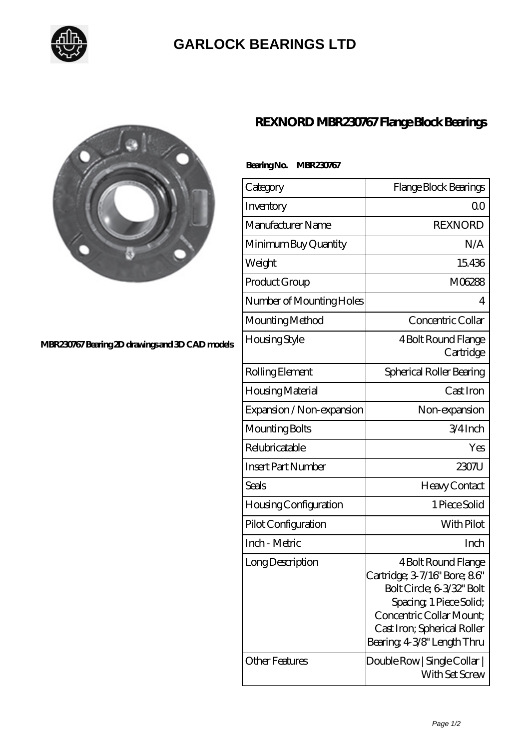

## **[GARLOCK BEARINGS LTD](https://m.letterstopriests.com)**



### **[MBR230767 Bearing 2D drawings and 3D CAD models](https://m.letterstopriests.com/pic-188745.html)**

## **[REXNORD MBR230767 Flange Block Bearings](https://m.letterstopriests.com/af-188745-rexnord-mbr230767-flange-block-bearings.html)**

#### **Bearing No. MBR230767**

| Category                     | Flange Block Bearings                                                                                                                                                                               |
|------------------------------|-----------------------------------------------------------------------------------------------------------------------------------------------------------------------------------------------------|
| Inventory                    | Q0                                                                                                                                                                                                  |
| Manufacturer Name            | <b>REXNORD</b>                                                                                                                                                                                      |
| Minimum Buy Quantity         | N/A                                                                                                                                                                                                 |
| Weight                       | 15436                                                                                                                                                                                               |
| Product Group                | M06288                                                                                                                                                                                              |
| Number of Mounting Holes     | 4                                                                                                                                                                                                   |
| Mounting Method              | Concentric Collar                                                                                                                                                                                   |
| Housing Style                | 4 Bolt Round Flange<br>Cartridge                                                                                                                                                                    |
| Rolling Element              | Spherical Roller Bearing                                                                                                                                                                            |
| Housing Material             | Cast Iron                                                                                                                                                                                           |
| Expansion / Non-expansion    | Non-expansion                                                                                                                                                                                       |
| Mounting Bolts               | $3/4$ Inch                                                                                                                                                                                          |
| Relubricatable               | Yes                                                                                                                                                                                                 |
| <b>Insert Part Number</b>    | $2307$ U                                                                                                                                                                                            |
| Seals                        | <b>Heavy Contact</b>                                                                                                                                                                                |
| <b>Housing Configuration</b> | 1 Piece Solid                                                                                                                                                                                       |
| Pilot Configuration          | With Pilot                                                                                                                                                                                          |
| Inch - Metric                | Inch                                                                                                                                                                                                |
| Long Description             | 4 Bolt Round Flange<br>Cartridge; 3-7/16" Bore; 86"<br>Bolt Circle; 6-3/32" Bolt<br>Spacing, 1 Piece Solid;<br>Concentric Collar Mount:<br>Cast Iron; Spherical Roller<br>Bearing 43/8" Length Thru |
| <b>Other Features</b>        | Double Row   Single Collar  <br>With Set Screw                                                                                                                                                      |